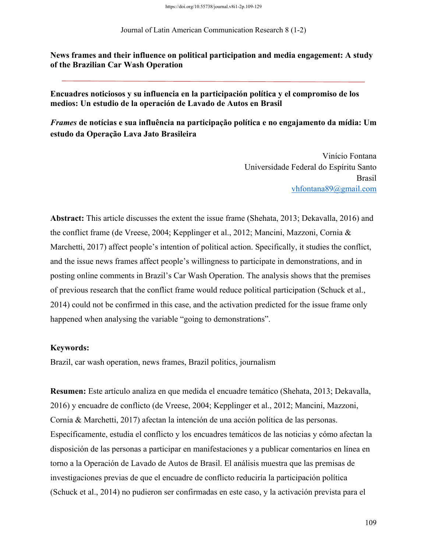Journal of Latin American Communication Research 8 (1-2)

**News frames and their influence on political participation and media engagement: A study of the Brazilian Car Wash Operation** 

**Encuadres noticiosos y su influencia en la participación política y el compromiso de los medios: Un estudio de la operación de Lavado de Autos en Brasil**

*Frames* **de notícias e sua influência na participação política e no engajamento da mídia: Um estudo da Operação Lava Jato Brasileira**

> Vinício Fontana Universidade Federal do Espíritu Santo Brasil vhfontana89@gmail.com

**Abstract:** This article discusses the extent the issue frame (Shehata, 2013; Dekavalla, 2016) and the conflict frame (de Vreese, 2004; Kepplinger et al., 2012; Mancini, Mazzoni, Cornia & Marchetti, 2017) affect people's intention of political action. Specifically, it studies the conflict, and the issue news frames affect people's willingness to participate in demonstrations, and in posting online comments in Brazil's Car Wash Operation. The analysis shows that the premises of previous research that the conflict frame would reduce political participation (Schuck et al., 2014) could not be confirmed in this case, and the activation predicted for the issue frame only happened when analysing the variable "going to demonstrations".

#### **Keywords:**

Brazil, car wash operation, news frames, Brazil politics, journalism

**Resumen:** Este artículo analiza en que medida el encuadre temático (Shehata, 2013; Dekavalla, 2016) y encuadre de conflicto (de Vreese, 2004; Kepplinger et al., 2012; Mancini, Mazzoni, Cornia & Marchetti, 2017) afectan la intención de una acción política de las personas. Específicamente, estudia el conflicto y los encuadres temáticos de las noticias y cómo afectan la disposición de las personas a participar en manifestaciones y a publicar comentarios en línea en torno a la Operación de Lavado de Autos de Brasil. El análisis muestra que las premisas de investigaciones previas de que el encuadre de conflicto reduciría la participación política (Schuck et al., 2014) no pudieron ser confirmadas en este caso, y la activación prevista para el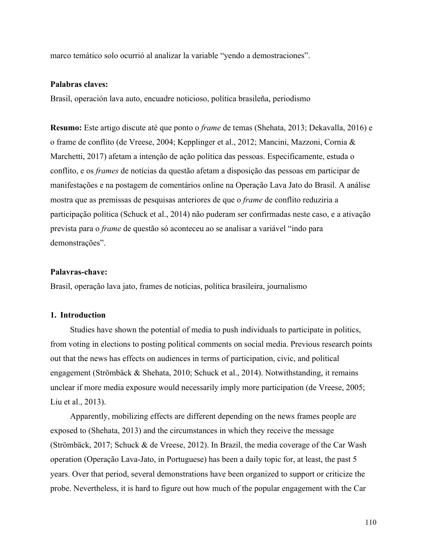marco temático solo ocurrió al analizar la variable "yendo a demostraciones".

## **Palabras claves:**

Brasil, operación lava auto, encuadre noticioso, política brasileña, periodismo

**Resumo:** Este artigo discute até que ponto o *frame* de temas (Shehata, 2013; Dekavalla, 2016) e o frame de conflito (de Vreese, 2004; Kepplinger et al., 2012; Mancini, Mazzoni, Cornia & Marchetti, 2017) afetam a intenção de ação política das pessoas. Especificamente, estuda o conflito, e os *frames* de notícias da questão afetam a disposição das pessoas em participar de manifestações e na postagem de comentários online na Operação Lava Jato do Brasil. A análise mostra que as premissas de pesquisas anteriores de que o *frame* de conflito reduziria a participação política (Schuck et al., 2014) não puderam ser confirmadas neste caso, e a ativação prevista para o *frame* de questão só aconteceu ao se analisar a variável "indo para demonstrações".

# **Palavras-chave:**

Brasil, operação lava jato, frames de notícias, política brasileira, journalismo

#### **1. Introduction**

Studies have shown the potential of media to push individuals to participate in politics, from voting in elections to posting political comments on social media. Previous research points out that the news has effects on audiences in terms of participation, civic, and political engagement (Strömbäck & Shehata, 2010; Schuck et al., 2014). Notwithstanding, it remains unclear if more media exposure would necessarily imply more participation (de Vreese, 2005; Liu et al., 2013).

Apparently, mobilizing effects are different depending on the news frames people are exposed to (Shehata, 2013) and the circumstances in which they receive the message (Strömbäck, 2017; Schuck & de Vreese, 2012). In Brazil, the media coverage of the Car Wash operation (Operação Lava-Jato, in Portuguese) has been a daily topic for, at least, the past 5 years. Over that period, several demonstrations have been organized to support or criticize the probe. Nevertheless, it is hard to figure out how much of the popular engagement with the Car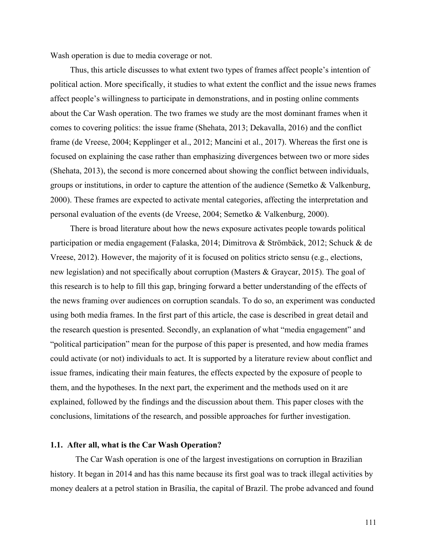Wash operation is due to media coverage or not.

Thus, this article discusses to what extent two types of frames affect people's intention of political action. More specifically, it studies to what extent the conflict and the issue news frames affect people's willingness to participate in demonstrations, and in posting online comments about the Car Wash operation. The two frames we study are the most dominant frames when it comes to covering politics: the issue frame (Shehata, 2013; Dekavalla, 2016) and the conflict frame (de Vreese, 2004; Kepplinger et al., 2012; Mancini et al., 2017). Whereas the first one is focused on explaining the case rather than emphasizing divergences between two or more sides (Shehata, 2013), the second is more concerned about showing the conflict between individuals, groups or institutions, in order to capture the attention of the audience (Semetko & Valkenburg, 2000). These frames are expected to activate mental categories, affecting the interpretation and personal evaluation of the events (de Vreese, 2004; Semetko & Valkenburg, 2000).

There is broad literature about how the news exposure activates people towards political participation or media engagement (Falaska, 2014; Dimitrova & Strömbäck, 2012; Schuck & de Vreese, 2012). However, the majority of it is focused on politics stricto sensu (e.g., elections, new legislation) and not specifically about corruption (Masters & Graycar, 2015). The goal of this research is to help to fill this gap, bringing forward a better understanding of the effects of the news framing over audiences on corruption scandals. To do so, an experiment was conducted using both media frames. In the first part of this article, the case is described in great detail and the research question is presented. Secondly, an explanation of what "media engagement" and "political participation" mean for the purpose of this paper is presented, and how media frames could activate (or not) individuals to act. It is supported by a literature review about conflict and issue frames, indicating their main features, the effects expected by the exposure of people to them, and the hypotheses. In the next part, the experiment and the methods used on it are explained, followed by the findings and the discussion about them. This paper closes with the conclusions, limitations of the research, and possible approaches for further investigation.

### **1.1. After all, what is the Car Wash Operation?**

The Car Wash operation is one of the largest investigations on corruption in Brazilian history. It began in 2014 and has this name because its first goal was to track illegal activities by money dealers at a petrol station in Brasília, the capital of Brazil. The probe advanced and found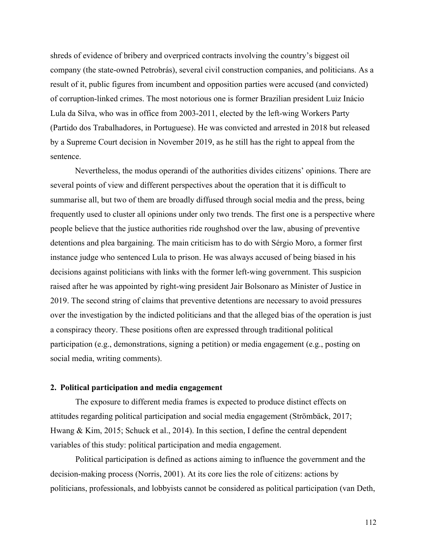shreds of evidence of bribery and overpriced contracts involving the country's biggest oil company (the state-owned Petrobrás), several civil construction companies, and politicians. As a result of it, public figures from incumbent and opposition parties were accused (and convicted) of corruption-linked crimes. The most notorious one is former Brazilian president Luiz Inácio Lula da Silva, who was in office from 2003-2011, elected by the left-wing Workers Party (Partido dos Trabalhadores, in Portuguese). He was convicted and arrested in 2018 but released by a Supreme Court decision in November 2019, as he still has the right to appeal from the sentence.

Nevertheless, the modus operandi of the authorities divides citizens' opinions. There are several points of view and different perspectives about the operation that it is difficult to summarise all, but two of them are broadly diffused through social media and the press, being frequently used to cluster all opinions under only two trends. The first one is a perspective where people believe that the justice authorities ride roughshod over the law, abusing of preventive detentions and plea bargaining. The main criticism has to do with Sérgio Moro, a former first instance judge who sentenced Lula to prison. He was always accused of being biased in his decisions against politicians with links with the former left-wing government. This suspicion raised after he was appointed by right-wing president Jair Bolsonaro as Minister of Justice in 2019. The second string of claims that preventive detentions are necessary to avoid pressures over the investigation by the indicted politicians and that the alleged bias of the operation is just a conspiracy theory. These positions often are expressed through traditional political participation (e.g., demonstrations, signing a petition) or media engagement (e.g., posting on social media, writing comments).

## **2. Political participation and media engagement**

The exposure to different media frames is expected to produce distinct effects on attitudes regarding political participation and social media engagement (Strömbäck, 2017; Hwang & Kim, 2015; Schuck et al., 2014). In this section, I define the central dependent variables of this study: political participation and media engagement.

Political participation is defined as actions aiming to influence the government and the decision-making process (Norris, 2001). At its core lies the role of citizens: actions by politicians, professionals, and lobbyists cannot be considered as political participation (van Deth,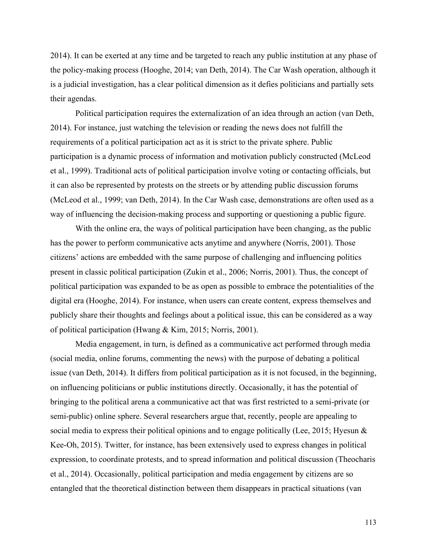2014). It can be exerted at any time and be targeted to reach any public institution at any phase of the policy-making process (Hooghe, 2014; van Deth, 2014). The Car Wash operation, although it is a judicial investigation, has a clear political dimension as it defies politicians and partially sets their agendas.

Political participation requires the externalization of an idea through an action (van Deth, 2014). For instance, just watching the television or reading the news does not fulfill the requirements of a political participation act as it is strict to the private sphere. Public participation is a dynamic process of information and motivation publicly constructed (McLeod et al., 1999). Traditional acts of political participation involve voting or contacting officials, but it can also be represented by protests on the streets or by attending public discussion forums (McLeod et al., 1999; van Deth, 2014). In the Car Wash case, demonstrations are often used as a way of influencing the decision-making process and supporting or questioning a public figure.

With the online era, the ways of political participation have been changing, as the public has the power to perform communicative acts anytime and anywhere (Norris, 2001). Those citizens' actions are embedded with the same purpose of challenging and influencing politics present in classic political participation (Zukin et al., 2006; Norris, 2001). Thus, the concept of political participation was expanded to be as open as possible to embrace the potentialities of the digital era (Hooghe, 2014). For instance, when users can create content, express themselves and publicly share their thoughts and feelings about a political issue, this can be considered as a way of political participation (Hwang & Kim, 2015; Norris, 2001).

Media engagement, in turn, is defined as a communicative act performed through media (social media, online forums, commenting the news) with the purpose of debating a political issue (van Deth, 2014). It differs from political participation as it is not focused, in the beginning, on influencing politicians or public institutions directly. Occasionally, it has the potential of bringing to the political arena a communicative act that was first restricted to a semi-private (or semi-public) online sphere. Several researchers argue that, recently, people are appealing to social media to express their political opinions and to engage politically (Lee, 2015; Hyesun & Kee-Oh, 2015). Twitter, for instance, has been extensively used to express changes in political expression, to coordinate protests, and to spread information and political discussion (Theocharis et al., 2014). Occasionally, political participation and media engagement by citizens are so entangled that the theoretical distinction between them disappears in practical situations (van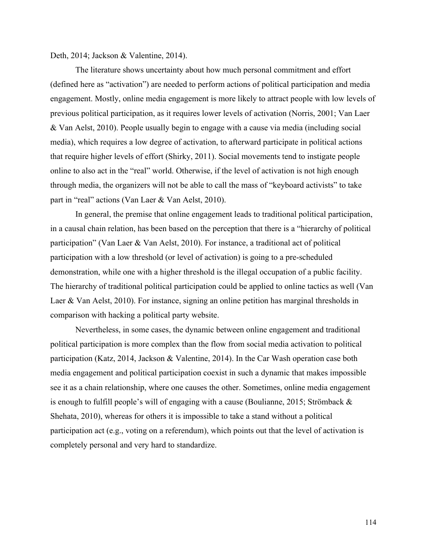Deth, 2014; Jackson & Valentine, 2014).

The literature shows uncertainty about how much personal commitment and effort (defined here as "activation") are needed to perform actions of political participation and media engagement. Mostly, online media engagement is more likely to attract people with low levels of previous political participation, as it requires lower levels of activation (Norris, 2001; Van Laer & Van Aelst, 2010). People usually begin to engage with a cause via media (including social media), which requires a low degree of activation, to afterward participate in political actions that require higher levels of effort (Shirky, 2011). Social movements tend to instigate people online to also act in the "real" world. Otherwise, if the level of activation is not high enough through media, the organizers will not be able to call the mass of "keyboard activists" to take part in "real" actions (Van Laer & Van Aelst, 2010).

In general, the premise that online engagement leads to traditional political participation, in a causal chain relation, has been based on the perception that there is a "hierarchy of political participation" (Van Laer & Van Aelst, 2010). For instance, a traditional act of political participation with a low threshold (or level of activation) is going to a pre-scheduled demonstration, while one with a higher threshold is the illegal occupation of a public facility. The hierarchy of traditional political participation could be applied to online tactics as well (Van Laer & Van Aelst, 2010). For instance, signing an online petition has marginal thresholds in comparison with hacking a political party website.

Nevertheless, in some cases, the dynamic between online engagement and traditional political participation is more complex than the flow from social media activation to political participation (Katz, 2014, Jackson & Valentine, 2014). In the Car Wash operation case both media engagement and political participation coexist in such a dynamic that makes impossible see it as a chain relationship, where one causes the other. Sometimes, online media engagement is enough to fulfill people's will of engaging with a cause (Boulianne, 2015; Strömback & Shehata, 2010), whereas for others it is impossible to take a stand without a political participation act (e.g., voting on a referendum), which points out that the level of activation is completely personal and very hard to standardize.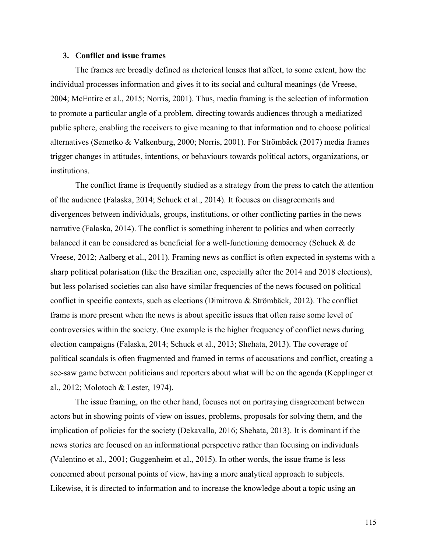### **3. Conflict and issue frames**

The frames are broadly defined as rhetorical lenses that affect, to some extent, how the individual processes information and gives it to its social and cultural meanings (de Vreese, 2004; McEntire et al., 2015; Norris, 2001). Thus, media framing is the selection of information to promote a particular angle of a problem, directing towards audiences through a mediatized public sphere, enabling the receivers to give meaning to that information and to choose political alternatives (Semetko & Valkenburg, 2000; Norris, 2001). For Strömbäck (2017) media frames trigger changes in attitudes, intentions, or behaviours towards political actors, organizations, or institutions.

The conflict frame is frequently studied as a strategy from the press to catch the attention of the audience (Falaska, 2014; Schuck et al., 2014). It focuses on disagreements and divergences between individuals, groups, institutions, or other conflicting parties in the news narrative (Falaska, 2014). The conflict is something inherent to politics and when correctly balanced it can be considered as beneficial for a well-functioning democracy (Schuck & de Vreese, 2012; Aalberg et al., 2011). Framing news as conflict is often expected in systems with a sharp political polarisation (like the Brazilian one, especially after the 2014 and 2018 elections), but less polarised societies can also have similar frequencies of the news focused on political conflict in specific contexts, such as elections (Dimitrova & Strömbäck, 2012). The conflict frame is more present when the news is about specific issues that often raise some level of controversies within the society. One example is the higher frequency of conflict news during election campaigns (Falaska, 2014; Schuck et al., 2013; Shehata, 2013). The coverage of political scandals is often fragmented and framed in terms of accusations and conflict, creating a see-saw game between politicians and reporters about what will be on the agenda (Kepplinger et al., 2012; Molotoch & Lester, 1974).

The issue framing, on the other hand, focuses not on portraying disagreement between actors but in showing points of view on issues, problems, proposals for solving them, and the implication of policies for the society (Dekavalla, 2016; Shehata, 2013). It is dominant if the news stories are focused on an informational perspective rather than focusing on individuals (Valentino et al., 2001; Guggenheim et al., 2015). In other words, the issue frame is less concerned about personal points of view, having a more analytical approach to subjects. Likewise, it is directed to information and to increase the knowledge about a topic using an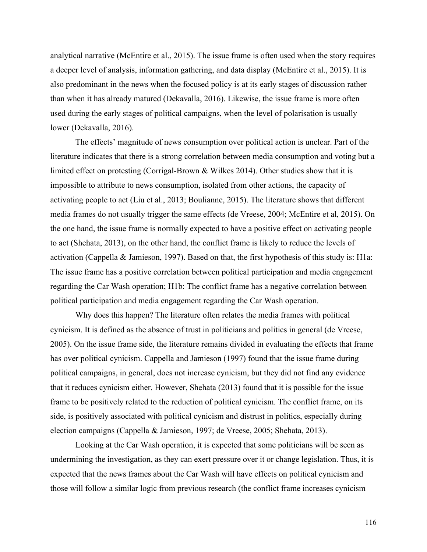analytical narrative (McEntire et al., 2015). The issue frame is often used when the story requires a deeper level of analysis, information gathering, and data display (McEntire et al., 2015). It is also predominant in the news when the focused policy is at its early stages of discussion rather than when it has already matured (Dekavalla, 2016). Likewise, the issue frame is more often used during the early stages of political campaigns, when the level of polarisation is usually lower (Dekavalla, 2016).

The effects' magnitude of news consumption over political action is unclear. Part of the literature indicates that there is a strong correlation between media consumption and voting but a limited effect on protesting (Corrigal-Brown & Wilkes 2014). Other studies show that it is impossible to attribute to news consumption, isolated from other actions, the capacity of activating people to act (Liu et al., 2013; Boulianne, 2015). The literature shows that different media frames do not usually trigger the same effects (de Vreese, 2004; McEntire et al, 2015). On the one hand, the issue frame is normally expected to have a positive effect on activating people to act (Shehata, 2013), on the other hand, the conflict frame is likely to reduce the levels of activation (Cappella & Jamieson, 1997). Based on that, the first hypothesis of this study is: H1a: The issue frame has a positive correlation between political participation and media engagement regarding the Car Wash operation; H1b: The conflict frame has a negative correlation between political participation and media engagement regarding the Car Wash operation.

Why does this happen? The literature often relates the media frames with political cynicism. It is defined as the absence of trust in politicians and politics in general (de Vreese, 2005). On the issue frame side, the literature remains divided in evaluating the effects that frame has over political cynicism. Cappella and Jamieson (1997) found that the issue frame during political campaigns, in general, does not increase cynicism, but they did not find any evidence that it reduces cynicism either. However, Shehata (2013) found that it is possible for the issue frame to be positively related to the reduction of political cynicism. The conflict frame, on its side, is positively associated with political cynicism and distrust in politics, especially during election campaigns (Cappella & Jamieson, 1997; de Vreese, 2005; Shehata, 2013).

Looking at the Car Wash operation, it is expected that some politicians will be seen as undermining the investigation, as they can exert pressure over it or change legislation. Thus, it is expected that the news frames about the Car Wash will have effects on political cynicism and those will follow a similar logic from previous research (the conflict frame increases cynicism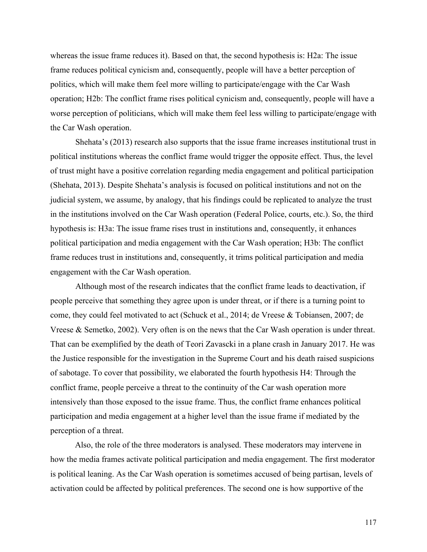whereas the issue frame reduces it). Based on that, the second hypothesis is: H2a: The issue frame reduces political cynicism and, consequently, people will have a better perception of politics, which will make them feel more willing to participate/engage with the Car Wash operation; H2b: The conflict frame rises political cynicism and, consequently, people will have a worse perception of politicians, which will make them feel less willing to participate/engage with the Car Wash operation.

Shehata's (2013) research also supports that the issue frame increases institutional trust in political institutions whereas the conflict frame would trigger the opposite effect. Thus, the level of trust might have a positive correlation regarding media engagement and political participation (Shehata, 2013). Despite Shehata's analysis is focused on political institutions and not on the judicial system, we assume, by analogy, that his findings could be replicated to analyze the trust in the institutions involved on the Car Wash operation (Federal Police, courts, etc.). So, the third hypothesis is: H3a: The issue frame rises trust in institutions and, consequently, it enhances political participation and media engagement with the Car Wash operation; H3b: The conflict frame reduces trust in institutions and, consequently, it trims political participation and media engagement with the Car Wash operation.

Although most of the research indicates that the conflict frame leads to deactivation, if people perceive that something they agree upon is under threat, or if there is a turning point to come, they could feel motivated to act (Schuck et al., 2014; de Vreese & Tobiansen, 2007; de Vreese & Semetko, 2002). Very often is on the news that the Car Wash operation is under threat. That can be exemplified by the death of Teori Zavascki in a plane crash in January 2017. He was the Justice responsible for the investigation in the Supreme Court and his death raised suspicions of sabotage. To cover that possibility, we elaborated the fourth hypothesis H4: Through the conflict frame, people perceive a threat to the continuity of the Car wash operation more intensively than those exposed to the issue frame. Thus, the conflict frame enhances political participation and media engagement at a higher level than the issue frame if mediated by the perception of a threat.

Also, the role of the three moderators is analysed. These moderators may intervene in how the media frames activate political participation and media engagement. The first moderator is political leaning. As the Car Wash operation is sometimes accused of being partisan, levels of activation could be affected by political preferences. The second one is how supportive of the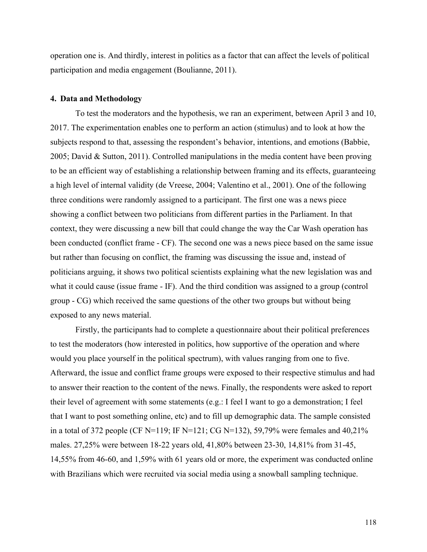operation one is. And thirdly, interest in politics as a factor that can affect the levels of political participation and media engagement (Boulianne, 2011).

#### **4. Data and Methodology**

To test the moderators and the hypothesis, we ran an experiment, between April 3 and 10, 2017. The experimentation enables one to perform an action (stimulus) and to look at how the subjects respond to that, assessing the respondent's behavior, intentions, and emotions (Babbie, 2005; David & Sutton, 2011). Controlled manipulations in the media content have been proving to be an efficient way of establishing a relationship between framing and its effects, guaranteeing a high level of internal validity (de Vreese, 2004; Valentino et al., 2001). One of the following three conditions were randomly assigned to a participant. The first one was a news piece showing a conflict between two politicians from different parties in the Parliament. In that context, they were discussing a new bill that could change the way the Car Wash operation has been conducted (conflict frame - CF). The second one was a news piece based on the same issue but rather than focusing on conflict, the framing was discussing the issue and, instead of politicians arguing, it shows two political scientists explaining what the new legislation was and what it could cause (issue frame - IF). And the third condition was assigned to a group (control group - CG) which received the same questions of the other two groups but without being exposed to any news material.

Firstly, the participants had to complete a questionnaire about their political preferences to test the moderators (how interested in politics, how supportive of the operation and where would you place yourself in the political spectrum), with values ranging from one to five. Afterward, the issue and conflict frame groups were exposed to their respective stimulus and had to answer their reaction to the content of the news. Finally, the respondents were asked to report their level of agreement with some statements (e.g.: I feel I want to go a demonstration; I feel that I want to post something online, etc) and to fill up demographic data. The sample consisted in a total of 372 people (CF N=119; IF N=121; CG N=132), 59,79% were females and 40,21% males. 27,25% were between 18-22 years old, 41,80% between 23-30, 14,81% from 31-45, 14,55% from 46-60, and 1,59% with 61 years old or more, the experiment was conducted online with Brazilians which were recruited via social media using a snowball sampling technique.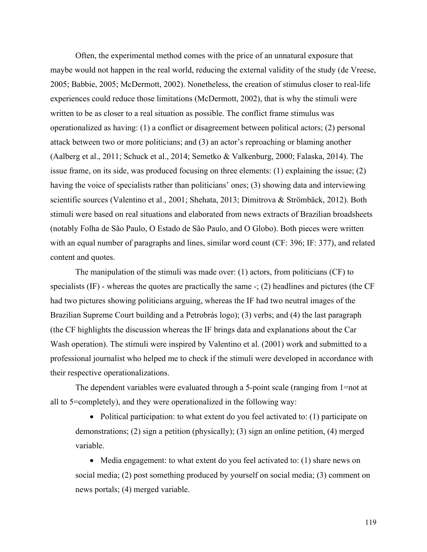Often, the experimental method comes with the price of an unnatural exposure that maybe would not happen in the real world, reducing the external validity of the study (de Vreese, 2005; Babbie, 2005; McDermott, 2002). Nonetheless, the creation of stimulus closer to real-life experiences could reduce those limitations (McDermott, 2002), that is why the stimuli were written to be as closer to a real situation as possible. The conflict frame stimulus was operationalized as having: (1) a conflict or disagreement between political actors; (2) personal attack between two or more politicians; and (3) an actor's reproaching or blaming another (Aalberg et al., 2011; Schuck et al., 2014; Semetko & Valkenburg, 2000; Falaska, 2014). The issue frame, on its side, was produced focusing on three elements: (1) explaining the issue; (2) having the voice of specialists rather than politicians' ones; (3) showing data and interviewing scientific sources (Valentino et al., 2001; Shehata, 2013; Dimitrova & Strömbäck, 2012). Both stimuli were based on real situations and elaborated from news extracts of Brazilian broadsheets (notably Folha de São Paulo, O Estado de São Paulo, and O Globo). Both pieces were written with an equal number of paragraphs and lines, similar word count (CF: 396; IF: 377), and related content and quotes.

The manipulation of the stimuli was made over: (1) actors, from politicians (CF) to specialists (IF) - whereas the quotes are practically the same -; (2) headlines and pictures (the CF had two pictures showing politicians arguing, whereas the IF had two neutral images of the Brazilian Supreme Court building and a Petrobrás logo); (3) verbs; and (4) the last paragraph (the CF highlights the discussion whereas the IF brings data and explanations about the Car Wash operation). The stimuli were inspired by Valentino et al. (2001) work and submitted to a professional journalist who helped me to check if the stimuli were developed in accordance with their respective operationalizations.

The dependent variables were evaluated through a 5-point scale (ranging from 1=not at all to 5=completely), and they were operationalized in the following way:

• Political participation: to what extent do you feel activated to: (1) participate on demonstrations; (2) sign a petition (physically); (3) sign an online petition, (4) merged variable.

• Media engagement: to what extent do you feel activated to: (1) share news on social media; (2) post something produced by yourself on social media; (3) comment on news portals; (4) merged variable.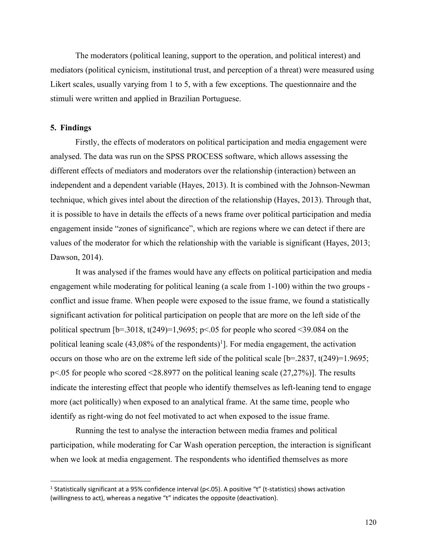The moderators (political leaning, support to the operation, and political interest) and mediators (political cynicism, institutional trust, and perception of a threat) were measured using Likert scales, usually varying from 1 to 5, with a few exceptions. The questionnaire and the stimuli were written and applied in Brazilian Portuguese.

## **5. Findings**

Firstly, the effects of moderators on political participation and media engagement were analysed. The data was run on the SPSS PROCESS software, which allows assessing the different effects of mediators and moderators over the relationship (interaction) between an independent and a dependent variable (Hayes, 2013). It is combined with the Johnson-Newman technique, which gives intel about the direction of the relationship (Hayes, 2013). Through that, it is possible to have in details the effects of a news frame over political participation and media engagement inside "zones of significance", which are regions where we can detect if there are values of the moderator for which the relationship with the variable is significant (Hayes, 2013; Dawson, 2014).

It was analysed if the frames would have any effects on political participation and media engagement while moderating for political leaning (a scale from 1-100) within the two groups conflict and issue frame. When people were exposed to the issue frame, we found a statistically significant activation for political participation on people that are more on the left side of the political spectrum  $[b=.3018, t(249)=1,9695; p<.05$  for people who scored <39.084 on the political leaning scale  $(43,08\%$  of the respondents)<sup>1</sup>]. For media engagement, the activation occurs on those who are on the extreme left side of the political scale  $[b=.2837, t(249)=1.9695;$ p<.05 for people who scored <28.8977 on the political leaning scale (27,27%)]. The results indicate the interesting effect that people who identify themselves as left-leaning tend to engage more (act politically) when exposed to an analytical frame. At the same time, people who identify as right-wing do not feel motivated to act when exposed to the issue frame.

Running the test to analyse the interaction between media frames and political participation, while moderating for Car Wash operation perception, the interaction is significant when we look at media engagement. The respondents who identified themselves as more

<sup>&</sup>lt;sup>1</sup> Statistically significant at a 95% confidence interval (p<.05). A positive "t" (t-statistics) shows activation (willingness to act), whereas a negative "t" indicates the opposite (deactivation).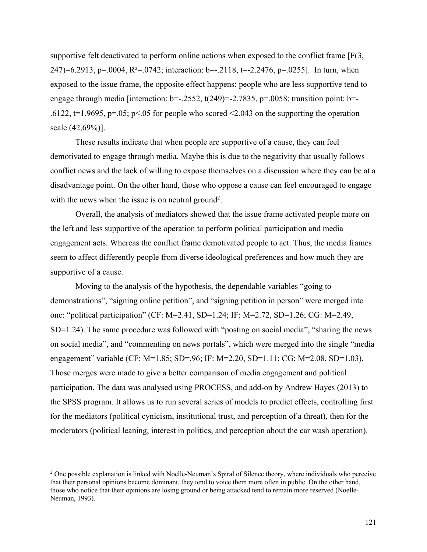supportive felt deactivated to perform online actions when exposed to the conflict frame  $[F(3, \cdot)]$ 247)=6.2913, p=.0004, R<sup>2</sup>=.0742; interaction: b=-.2118, t=-2.2476, p=.0255]. In turn, when exposed to the issue frame, the opposite effect happens: people who are less supportive tend to engage through media [interaction:  $b=-.2552$ ,  $t(249)=-2.7835$ ,  $p=.0058$ ; transition point:  $b=-$ .6122,  $t=1.9695$ ,  $p=.05$ ;  $p<.05$  for people who scored <2.043 on the supporting the operation scale (42,69%)].

These results indicate that when people are supportive of a cause, they can feel demotivated to engage through media. Maybe this is due to the negativity that usually follows conflict news and the lack of willing to expose themselves on a discussion where they can be at a disadvantage point. On the other hand, those who oppose a cause can feel encouraged to engage with the news when the issue is on neutral ground<sup>2</sup>.

Overall, the analysis of mediators showed that the issue frame activated people more on the left and less supportive of the operation to perform political participation and media engagement acts. Whereas the conflict frame demotivated people to act. Thus, the media frames seem to affect differently people from diverse ideological preferences and how much they are supportive of a cause.

Moving to the analysis of the hypothesis, the dependable variables "going to demonstrations", "signing online petition", and "signing petition in person" were merged into one: "political participation" (CF: M=2.41, SD=1.24; IF: M=2.72, SD=1.26; CG: M=2.49, SD=1.24). The same procedure was followed with "posting on social media", "sharing the news on social media", and "commenting on news portals", which were merged into the single "media engagement" variable (CF: M=1.85; SD=.96; IF: M=2.20, SD=1.11; CG: M=2.08, SD=1.03). Those merges were made to give a better comparison of media engagement and political participation. The data was analysed using PROCESS, and add-on by Andrew Hayes (2013) to the SPSS program. It allows us to run several series of models to predict effects, controlling first for the mediators (political cynicism, institutional trust, and perception of a threat), then for the moderators (political leaning, interest in politics, and perception about the car wash operation).

<sup>&</sup>lt;sup>2</sup> One possible explanation is linked with Noelle-Neuman's Spiral of Silence theory, where individuals who perceive that their personal opinions become dominant, they tend to voice them more often in public. On the other hand, those who notice that their opinions are losing ground or being attacked tend to remain more reserved (Noelle-Neuman, 1993).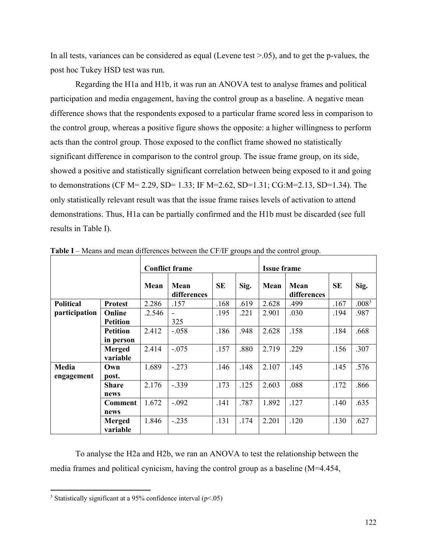In all tests, variances can be considered as equal (Levene test  $> 0.05$ ), and to get the p-values, the post hoc Tukey HSD test was run.

Regarding the H1a and H1b, it was run an ANOVA test to analyse frames and political participation and media engagement, having the control group as a baseline. A negative mean difference shows that the respondents exposed to a particular frame scored less in comparison to the control group, whereas a positive figure shows the opposite: a higher willingness to perform acts than the control group. Those exposed to the conflict frame showed no statistically significant difference in comparison to the control group. The issue frame group, on its side, showed a positive and statistically significant correlation between being exposed to it and going to demonstrations (CF M= 2.29, SD= 1.33; IF M=2.62, SD=1.31; CG:M=2.13, SD=1.34). The only statistically relevant result was that the issue frame raises levels of activation to attend demonstrations. Thus, H1a can be partially confirmed and the H1b must be discarded (see full results in Table I).

|                  |                           | <b>Conflict frame</b> |                     |           |      | <b>Issue frame</b> |                     |           |                   |
|------------------|---------------------------|-----------------------|---------------------|-----------|------|--------------------|---------------------|-----------|-------------------|
|                  |                           | Mean                  | Mean<br>differences | <b>SE</b> | Sig. | Mean               | Mean<br>differences | <b>SE</b> | Sig.              |
| <b>Political</b> | <b>Protest</b>            | 2.286                 | .157                | .168      | .619 | 2.628              | .499                | .167      | .008 <sup>3</sup> |
| participation    | Online                    | .2.546                |                     | .195      | .221 | 2.901              | .030                | .194      | .987              |
|                  | <b>Petition</b>           |                       | 325                 |           |      |                    |                     |           |                   |
|                  | <b>Petition</b>           | 2.412                 | $-.058$             | .186      | .948 | 2.628              | .158                | .184      | .668              |
|                  | in person                 |                       |                     |           |      |                    |                     |           |                   |
|                  | <b>Merged</b>             | 2.414                 | $-.075$             | .157      | .880 | 2.719              | .229                | .156      | .307              |
|                  | variable                  |                       |                     |           |      |                    |                     |           |                   |
| Media            | Own                       | 1.689                 | $-.273$             | .146      | .148 | 2.107              | .145                | .145      | .576              |
| engagement       | post.                     |                       |                     |           |      |                    |                     |           |                   |
|                  | <b>Share</b>              | 2.176                 | $-.339$             | .173      | .125 | 2.603              | .088                | .172      | .866              |
|                  | news                      |                       |                     |           |      |                    |                     |           |                   |
|                  | <b>Comment</b>            | 1.672                 | $-.092$             | .141      | .787 | 1.892              | .127                | .140      | .635              |
|                  | news                      |                       |                     |           |      |                    |                     |           |                   |
|                  | <b>Merged</b><br>variable | 1.846                 | $-.235$             | .131      | .174 | 2.201              | .120                | .130      | .627              |

**Table I** – Means and mean differences between the CF/IF groups and the control group.

To analyse the H2a and H2b, we ran an ANOVA to test the relationship between the media frames and political cynicism, having the control group as a baseline (M=4.454,

<sup>&</sup>lt;sup>3</sup> Statistically significant at a 95% confidence interval ( $p$  <.05)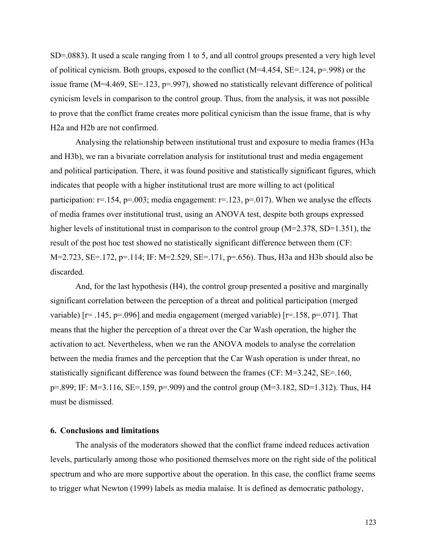SD=.0883). It used a scale ranging from 1 to 5, and all control groups presented a very high level of political cynicism. Both groups, exposed to the conflict  $(M=4.454, SE=.124, p=.998)$  or the issue frame (M=4.469, SE=.123, p=.997), showed no statistically relevant difference of political cynicism levels in comparison to the control group. Thus, from the analysis, it was not possible to prove that the conflict frame creates more political cynicism than the issue frame, that is why H2a and H2b are not confirmed.

Analysing the relationship between institutional trust and exposure to media frames (H3a and H3b), we ran a bivariate correlation analysis for institutional trust and media engagement and political participation. There, it was found positive and statistically significant figures, which indicates that people with a higher institutional trust are more willing to act (political participation:  $r=154$ ,  $p=.003$ ; media engagement:  $r=.123$ ,  $p=.017$ ). When we analyse the effects of media frames over institutional trust, using an ANOVA test, despite both groups expressed higher levels of institutional trust in comparison to the control group (M=2.378, SD=1.351), the result of the post hoc test showed no statistically significant difference between them (CF: M=2.723, SE=.172, p=.114; IF: M=2.529, SE=.171, p=.656). Thus, H3a and H3b should also be discarded.

And, for the last hypothesis (H4), the control group presented a positive and marginally significant correlation between the perception of a threat and political participation (merged variable)  $[r=.145, p=.096]$  and media engagement (merged variable)  $[r=.158, p=.071]$ . That means that the higher the perception of a threat over the Car Wash operation, the higher the activation to act. Nevertheless, when we ran the ANOVA models to analyse the correlation between the media frames and the perception that the Car Wash operation is under threat, no statistically significant difference was found between the frames (CF: M=3.242, SE=.160, p=.899; IF: M=3.116, SE=.159, p=.909) and the control group (M=3.182, SD=1.312). Thus, H4 must be dismissed.

### **6. Conclusions and limitations**

The analysis of the moderators showed that the conflict frame indeed reduces activation levels, particularly among those who positioned themselves more on the right side of the political spectrum and who are more supportive about the operation. In this case, the conflict frame seems to trigger what Newton (1999) labels as media malaise. It is defined as democratic pathology,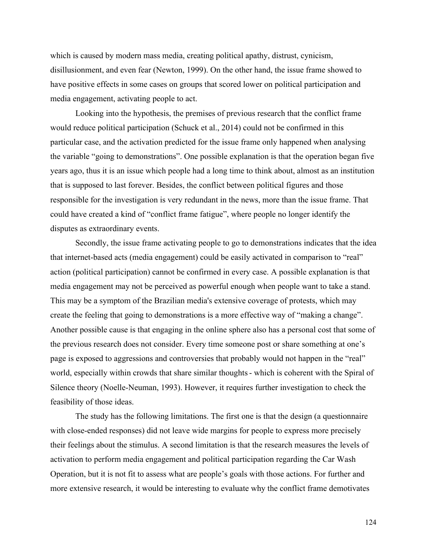which is caused by modern mass media, creating political apathy, distrust, cynicism, disillusionment, and even fear (Newton, 1999). On the other hand, the issue frame showed to have positive effects in some cases on groups that scored lower on political participation and media engagement, activating people to act.

Looking into the hypothesis, the premises of previous research that the conflict frame would reduce political participation (Schuck et al., 2014) could not be confirmed in this particular case, and the activation predicted for the issue frame only happened when analysing the variable "going to demonstrations". One possible explanation is that the operation began five years ago, thus it is an issue which people had a long time to think about, almost as an institution that is supposed to last forever. Besides, the conflict between political figures and those responsible for the investigation is very redundant in the news, more than the issue frame. That could have created a kind of "conflict frame fatigue", where people no longer identify the disputes as extraordinary events.

Secondly, the issue frame activating people to go to demonstrations indicates that the idea that internet-based acts (media engagement) could be easily activated in comparison to "real" action (political participation) cannot be confirmed in every case. A possible explanation is that media engagement may not be perceived as powerful enough when people want to take a stand. This may be a symptom of the Brazilian media's extensive coverage of protests, which may create the feeling that going to demonstrations is a more effective way of "making a change". Another possible cause is that engaging in the online sphere also has a personal cost that some of the previous research does not consider. Every time someone post or share something at one's page is exposed to aggressions and controversies that probably would not happen in the "real" world, especially within crowds that share similar thoughts- which is coherent with the Spiral of Silence theory (Noelle-Neuman, 1993). However, it requires further investigation to check the feasibility of those ideas.

The study has the following limitations. The first one is that the design (a questionnaire with close-ended responses) did not leave wide margins for people to express more precisely their feelings about the stimulus. A second limitation is that the research measures the levels of activation to perform media engagement and political participation regarding the Car Wash Operation, but it is not fit to assess what are people's goals with those actions. For further and more extensive research, it would be interesting to evaluate why the conflict frame demotivates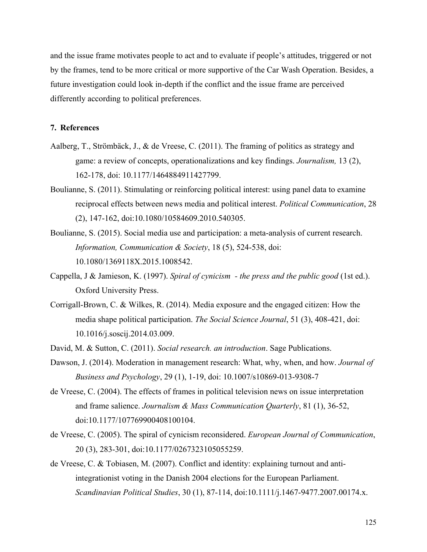and the issue frame motivates people to act and to evaluate if people's attitudes, triggered or not by the frames, tend to be more critical or more supportive of the Car Wash Operation. Besides, a future investigation could look in-depth if the conflict and the issue frame are perceived differently according to political preferences.

## **7. References**

- Aalberg, T., Strömbäck, J., & de Vreese, C. (2011). The framing of politics as strategy and game: a review of concepts, operationalizations and key findings. *Journalism,* 13 (2), 162-178, doi: 10.1177/1464884911427799.
- Boulianne, S. (2011). Stimulating or reinforcing political interest: using panel data to examine reciprocal effects between news media and political interest. *Political Communication*, 28 (2), 147-162, doi:10.1080/10584609.2010.540305.
- Boulianne, S. (2015). Social media use and participation: a meta-analysis of current research. *Information, Communication & Society*, 18 (5), 524-538, doi: 10.1080/1369118X.2015.1008542.
- Cappella, J & Jamieson, K. (1997). *Spiral of cynicism - the press and the public good* (1st ed.). Oxford University Press.
- Corrigall-Brown, C. & Wilkes, R. (2014). Media exposure and the engaged citizen: How the media shape political participation. *The Social Science Journal*, 51 (3), 408-421, doi: 10.1016/j.soscij.2014.03.009.
- David, M. & Sutton, C. (2011). *Social research. an introduction*. Sage Publications.
- Dawson, J. (2014). Moderation in management research: What, why, when, and how. *Journal of Business and Psychology*, 29 (1), 1-19, doi: 10.1007/s10869-013-9308-7
- de Vreese, C. (2004). The effects of frames in political television news on issue interpretation and frame salience. *Journalism & Mass Communication Quarterly*, 81 (1), 36-52, doi:10.1177/107769900408100104.
- de Vreese, C. (2005). The spiral of cynicism reconsidered. *European Journal of Communication*, 20 (3), 283-301, doi:10.1177/0267323105055259.
- de Vreese, C. & Tobiasen, M. (2007). Conflict and identity: explaining turnout and antiintegrationist voting in the Danish 2004 elections for the European Parliament. *Scandinavian Political Studies*, 30 (1), 87-114, doi:10.1111/j.1467-9477.2007.00174.x.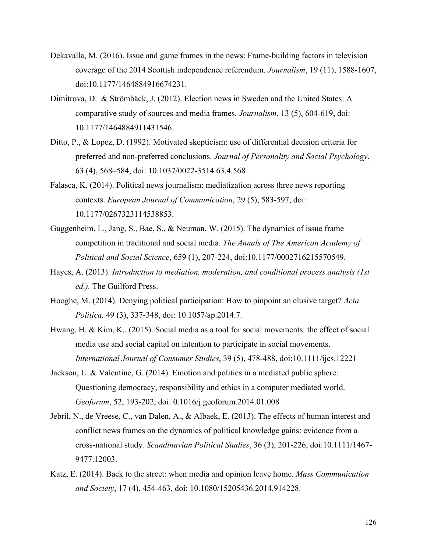- Dekavalla, M. (2016). Issue and game frames in the news: Frame-building factors in television coverage of the 2014 Scottish independence referendum. *Journalism*, 19 (11), 1588-1607, doi:10.1177/1464884916674231.
- Dimitrova, D. & Strömbäck, J. (2012). Election news in Sweden and the United States: A comparative study of sources and media frames. *Journalism*, 13 (5), 604-619, doi: 10.1177/1464884911431546.
- Ditto, P., & Lopez, D. (1992). Motivated skepticism: use of differential decision criteria for preferred and non-preferred conclusions. *Journal of Personality and Social Psychology*, 63 (4), 568–584, doi: 10.1037/0022-3514.63.4.568
- Falasca, K. (2014). Political news journalism: mediatization across three news reporting contexts. *European Journal of Communication*, 29 (5), 583-597, doi: 10.1177/0267323114538853.
- Guggenheim, L., Jang, S., Bae, S., & Neuman, W. (2015). The dynamics of issue frame competition in traditional and social media. *The Annals of The American Academy of Political and Social Science*, 659 (1), 207-224, doi:10.1177/0002716215570549.
- Hayes, A. (2013). *Introduction to mediation, moderation, and conditional process analysis (1st ed.).* The Guilford Press.
- Hooghe, M. (2014). Denying political participation: How to pinpoint an elusive target? *Acta Politica,* 49 (3), 337-348, doi: 10.1057/ap.2014.7.
- Hwang, H. & Kim, K.. (2015). Social media as a tool for social movements: the effect of social media use and social capital on intention to participate in social movements. *International Journal of Consumer Studies*, 39 (5), 478-488, doi:10.1111/ijcs.12221
- Jackson, L. & Valentine, G. (2014). Emotion and politics in a mediated public sphere: Questioning democracy, responsibility and ethics in a computer mediated world. *Geoforum*, 52, 193-202, doi: 0.1016/j.geoforum.2014.01.008
- Jebril, N., de Vreese, C., van Dalen, A., & Albaek, E. (2013). The effects of human interest and conflict news frames on the dynamics of political knowledge gains: evidence from a cross-national study*. Scandinavian Political Studies*, 36 (3), 201-226, doi:10.1111/1467- 9477.12003.
- Katz, E. (2014). Back to the street: when media and opinion leave home. *Mass Communication and Society*, 17 (4), 454-463, doi: 10.1080/15205436.2014.914228.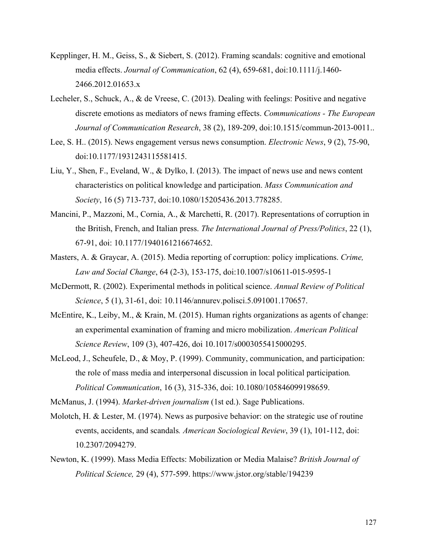- Kepplinger, H. M., Geiss, S., & Siebert, S. (2012). Framing scandals: cognitive and emotional media effects. *Journal of Communication*, 62 (4), 659-681, doi:10.1111/j.1460- 2466.2012.01653.x
- Lecheler, S., Schuck, A., & de Vreese, C. (2013). Dealing with feelings: Positive and negative discrete emotions as mediators of news framing effects. *Communications - The European Journal of Communication Research*, 38 (2), 189-209, doi:10.1515/commun-2013-0011..
- Lee, S. H.. (2015). News engagement versus news consumption. *Electronic News*, 9 (2), 75-90, doi:10.1177/1931243115581415.
- Liu, Y., Shen, F., Eveland, W., & Dylko, I. (2013). The impact of news use and news content characteristics on political knowledge and participation. *Mass Communication and Society*, 16 (5) 713-737, doi:10.1080/15205436.2013.778285.
- Mancini, P., Mazzoni, M., Cornia, A., & Marchetti, R. (2017). Representations of corruption in the British, French, and Italian press. *The International Journal of Press/Politics*, 22 (1), 67-91, doi: 10.1177/1940161216674652.
- Masters, A. & Graycar, A. (2015). Media reporting of corruption: policy implications. *Crime, Law and Social Change*, 64 (2-3), 153-175, doi:10.1007/s10611-015-9595-1
- McDermott, R. (2002). Experimental methods in political science. *Annual Review of Political Science*, 5 (1), 31-61, doi: 10.1146/annurev.polisci.5.091001.170657.
- McEntire, K., Leiby, M., & Krain, M. (2015). Human rights organizations as agents of change: an experimental examination of framing and micro mobilization. *American Political Science Review*, 109 (3), 407-426, doi 10.1017/s0003055415000295.
- McLeod, J., Scheufele, D., & Moy, P. (1999). Community, communication, and participation: the role of mass media and interpersonal discussion in local political participation*. Political Communication*, 16 (3), 315-336, doi: 10.1080/105846099198659.

McManus, J. (1994). *Market-driven journalism* (1st ed.). Sage Publications.

- Molotch, H. & Lester, M. (1974). News as purposive behavior: on the strategic use of routine events, accidents, and scandals*. American Sociological Review*, 39 (1), 101-112, doi: 10.2307/2094279.
- Newton, K. (1999). Mass Media Effects: Mobilization or Media Malaise? *British Journal of Political Science,* 29 (4), 577-599. https://www.jstor.org/stable/194239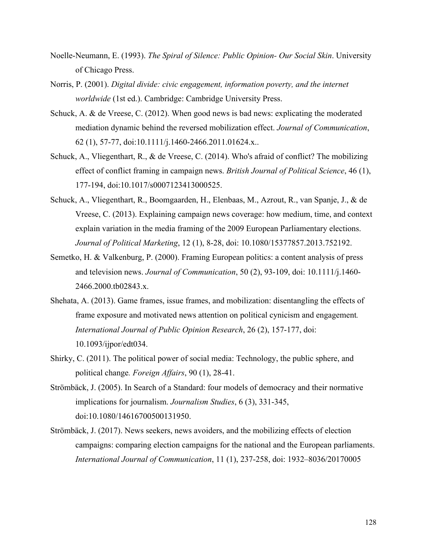- Noelle-Neumann, E. (1993). *The Spiral of Silence: Public Opinion- Our Social Skin*. University of Chicago Press.
- Norris, P. (2001). *Digital divide: civic engagement, information poverty, and the internet worldwide* (1st ed.). Cambridge: Cambridge University Press.
- Schuck, A. & de Vreese, C. (2012). When good news is bad news: explicating the moderated mediation dynamic behind the reversed mobilization effect. *Journal of Communication*, 62 (1), 57-77, doi:10.1111/j.1460-2466.2011.01624.x..
- Schuck, A., Vliegenthart, R., & de Vreese, C. (2014). Who's afraid of conflict? The mobilizing effect of conflict framing in campaign news. *British Journal of Political Science*, 46 (1), 177-194, doi:10.1017/s0007123413000525.
- Schuck, A., Vliegenthart, R., Boomgaarden, H., Elenbaas, M., Azrout, R., van Spanje, J., & de Vreese, C. (2013). Explaining campaign news coverage: how medium, time, and context explain variation in the media framing of the 2009 European Parliamentary elections. *Journal of Political Marketing*, 12 (1), 8-28, doi: 10.1080/15377857.2013.752192.
- Semetko, H. & Valkenburg, P. (2000). Framing European politics: a content analysis of press and television news. *Journal of Communication*, 50 (2), 93-109, doi: 10.1111/j.1460- 2466.2000.tb02843.x.
- Shehata, A. (2013). Game frames, issue frames, and mobilization: disentangling the effects of frame exposure and motivated news attention on political cynicism and engagement*. International Journal of Public Opinion Research*, 26 (2), 157-177, doi: 10.1093/ijpor/edt034.
- Shirky, C. (2011). The political power of social media: Technology, the public sphere, and political change*. Foreign Affairs*, 90 (1), 28-41.
- Strömbäck, J. (2005). In Search of a Standard: four models of democracy and their normative implications for journalism. *Journalism Studies*, 6 (3), 331-345, doi:10.1080/14616700500131950.
- Strömbäck, J. (2017). News seekers, news avoiders, and the mobilizing effects of election campaigns: comparing election campaigns for the national and the European parliaments. *International Journal of Communication*, 11 (1), 237-258, doi: 1932–8036/20170005